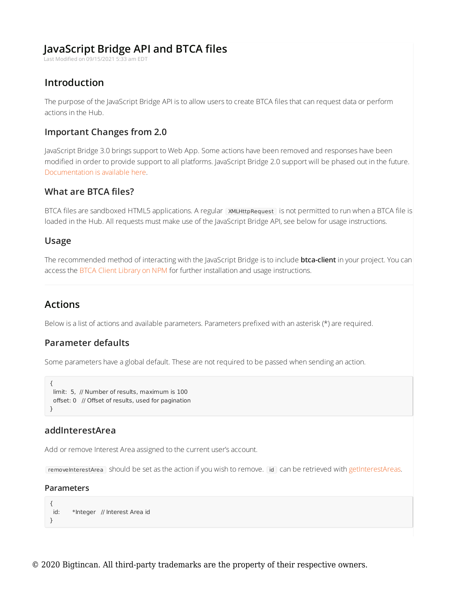# **JavaScript Bridge API and BTCA files**

Last Modified on 09/15/2021 5:33 am EDT

# **Introduction**

The purpose of the JavaScript Bridge API is to allow users to create BTCA files that can request data or perform actions in the Hub.

# **Important Changes from 2.0**

JavaScript Bridge 3.0 brings support to Web App. Some actions have been removed and responses have been modified in order to provide support to all platforms. JavaScript Bridge 2.0 support will be phased out in the future. Documentation is available here.

# **What are BTCA files?**

BTCA files are sandboxed HTML5 applications. A regular XMLHttpRequest is not permitted to run when a BTCA file is loaded in the Hub. All requests must make use of the JavaScript Bridge API, see below for usage instructions.

# **Usage**

The recommended method of interacting with the JavaScript Bridge is to include **btca-client** in your project. You can access the BTCA Client Library on NPM for further installation and usage instructions.

# **Actions**

Below is a list of actions and available parameters. Parameters prefixed with an asterisk (\*) are required.

## **Parameter defaults**

Some parameters have a global default. These are not required to be passed when sending an action.

```
{
limit: 5, // Number of results, maximum is 100
 offset: 0 // Offset of results, used for pagination
}
```
## **addInterestArea**

Add or remove Interest Area assigned to the current user's account.

removeInterestArea should be set as the action if you wish to remove. To can be retrieved with getInterestAreas.

### **Parameters**

```
{
id: *Integer // Interest Area id
}
```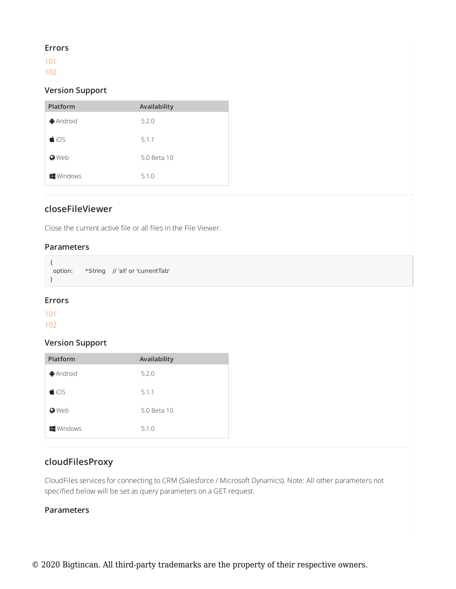### **Errors**

101 102

## **Version Support**

| Platform               | Availability |
|------------------------|--------------|
| $\bigoplus$ Android    | 5.2.0        |
| $\bigcirc$ iOS         | 5.1.1        |
| <b>O</b> Web           | 5.0 Beta 10  |
| $\blacksquare$ Windows | 5.1.0        |

# **closeFileViewer**

Close the current active file or all files in the File Viewer.

## **Parameters**

{ option: \*String // 'all' or 'currentTab' }

## **Errors**

101

102

## **Version Support**

| Platform               | Availability |
|------------------------|--------------|
| <b>Android</b>         | 5.2.0        |
| $\bigcirc$ iOS         | 5.1.1        |
| <b>O</b> Web           | 5.0 Beta 10  |
| $\blacksquare$ Windows | 5.1.0        |

# **cloudFilesProxy**

CloudFiles services for connecting to CRM (Salesforce / Microsoft Dynamics). Note: All other parameters not specified below will be set as query parameters on a GET request.

## **Parameters**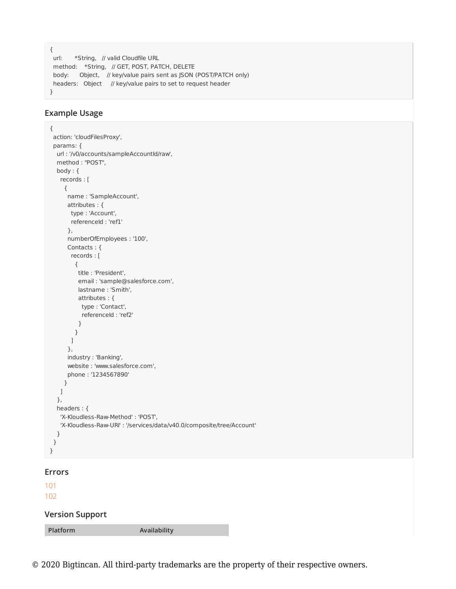```
{
url: *String, // valid Cloudfile URL
method: *String, // GET, POST, PATCH, DELETE
body: Object, // key/value pairs sent as JSON (POST/PATCH only)
headers: Object // key/value pairs to set to request header
}
```
## **Example Usage**

```
{
action: 'cloudFilesProxy',
params: {
 url : '/v0/accounts/sampleAccountId/raw',
 method : "POST",
 body : {
  records : [
     {
      name : 'SampleAccount',
      attributes : {
      type : 'Account',
       referenceId : 'ref1'
      },
      numberOfEmployees : '100',
      Contacts : {
       records : [
        {
         title : 'President',
         email : 'sample@salesforce.com',
         lastname : 'Smith',
         attributes : {
         type : 'Contact',
          referenceId : 'ref2'
         }
        }
       ]
      },
      industry : 'Banking',
      website : 'www.salesforce.com',
      phone : '1234567890'
    }
   \, ]
  },
  headers : {
   'X-Kloudless-Raw-Method' : 'POST',
   'X-Kloudless-Raw-URI' : '/services/data/v40.0/composite/tree/Account'
  }
}
}
```
#### **Errors**

### 101

102

### **Version Support**

**Platform Availability**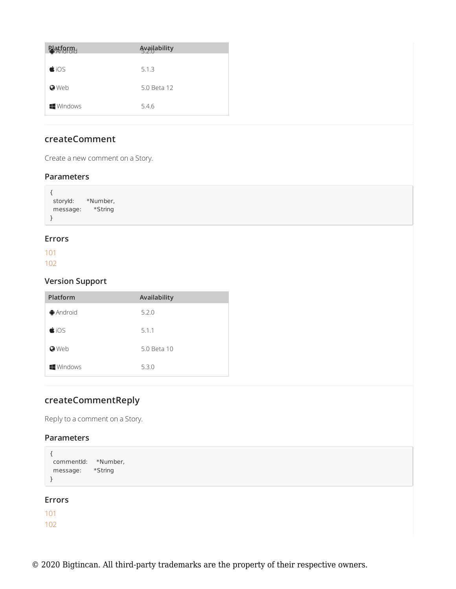| Patform                | <b>Availability</b> |
|------------------------|---------------------|
|                        |                     |
| $\bigcirc$ iOS         | 5.1.3               |
| <b>O</b> Web           | 5.0 Beta 12         |
| $\blacksquare$ Windows | 5.4.6               |

# **createComment**

Create a new comment on a Story.

### **Parameters**

| storyId: | *Number, |
|----------|----------|
| message: | *String  |
|          |          |

## **Errors**

101 102

 $\overline{a}$ 

## **Version Support**

| Platform               | Availability |
|------------------------|--------------|
| $\bigoplus$ Android    | 5.2.0        |
| $\bigcirc$ iOS         | 5.1.1        |
| <b>O</b> Web           | 5.0 Beta 10  |
| $\blacksquare$ Windows | 5.3.0        |

# **createCommentReply**

Reply to a comment on a Story.

## **Parameters**

```
{
commentId: *Number,
message: *String
}
```
## **Errors**

101 102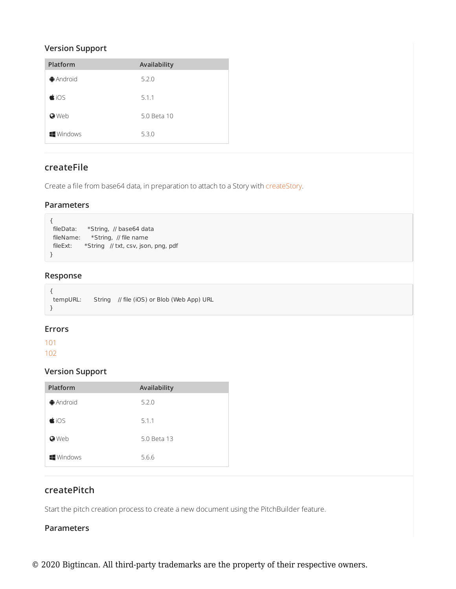## **Version Support**

| Platform               | Availability |
|------------------------|--------------|
| <b></b> Android        | 5.2.0        |
| $\bigcirc$ iOS         | 5.1.1        |
| <b>O</b> Web           | 5.0 Beta 10  |
| $\blacksquare$ Windows | 5.3.0        |

# **createFile**

Create a file from base64 data, in preparation to attach to a Story with createStory.

### **Parameters**

```
{
fileData: *String, // base64 data
fileName: *String, // file name
fileExt: *String // txt, csv, json, png, pdf
}
```
## **Response**

| tempURL: | String // file (iOS) or Blob (Web App) URL |
|----------|--------------------------------------------|
|          |                                            |

### **Errors**

101

102

## **Version Support**

| Platform            | Availability |
|---------------------|--------------|
| $\bigoplus$ Android | 5.2.0        |
| $\bigcirc$ iOS      | 5.1.1        |
| <b>O</b> Web        | 5.0 Beta 13  |
| <b>Windows</b>      | 5.6.6        |

# **createPitch**

Start the pitch creation process to create a new document using the PitchBuilder feature.

## **Parameters**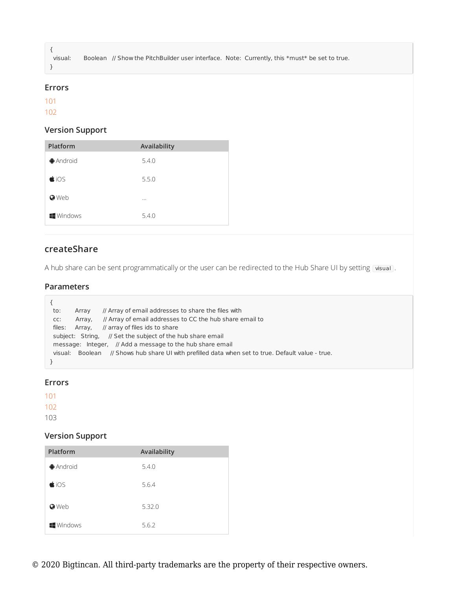visual: Boolean // Show the PitchBuilder user interface. Note: Currently, this \*must\* be set to true.

#### **Errors**

101

{

}

102

## **Version Support**

| Platform            | Availability |
|---------------------|--------------|
| $\bigoplus$ Android | 5.4.0        |
| $\bigcirc$ iOS      | 5.5.0        |
| <b>O</b> Web        | $\cdots$     |
| <b>Windows</b>      | 5.4.0        |

# **createShare**

A hub share can be sent programmatically or the user can be redirected to the Hub Share UI by setting visual.

## **Parameters**

| to:     | Array   | // Array of email addresses to share the files with                               |
|---------|---------|-----------------------------------------------------------------------------------|
| CC:     | Array.  | // Array of email addresses to CC the hub share email to                          |
| files:  | Array,  | // array of files ids to share                                                    |
|         |         | subject: String, // Set the subject of the hub share email                        |
|         |         | message: Integer, // Add a message to the hub share email                         |
| visual: | Boolean | // Shows hub share UI with prefilled data when set to true. Default value - true. |
|         |         |                                                                                   |

## **Errors**

101

102

103

| Platform               | Availability |
|------------------------|--------------|
| $\bigoplus$ Android    | 5.4.0        |
| $\bigcirc$ iOS         | 5.6.4        |
| <b>O</b> Web           | 5.32.0       |
| $\blacksquare$ Windows | 5.6.2        |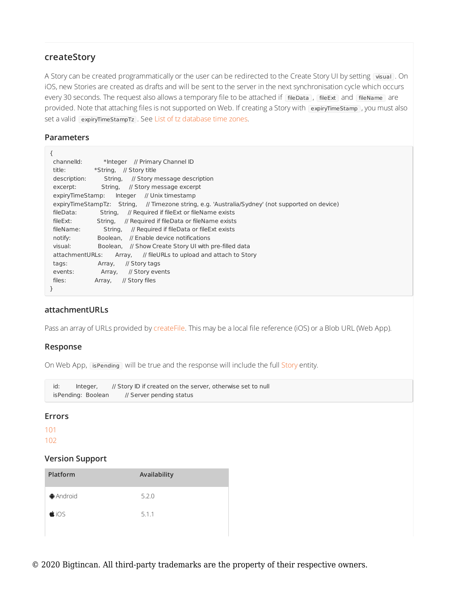## **createStory**

A Story can be created programmatically or the user can be redirected to the Create Story UI by setting visual . On iOS, new Stories are created as drafts and will be sent to the server in the next synchronisation cycle which occurs every 30 seconds. The request also allows a temporary file to be attached if fileData, fileExt and fileName are provided. Note that attaching files is not supported on Web. If creating a Story with expiryTimeStamp , you must also set a valid expiryTimeStampTz . See List of tz database time zones.

## **Parameters**

| ₹                                                                                                |  |
|--------------------------------------------------------------------------------------------------|--|
| channelld:<br>*Integer // Primary Channel ID                                                     |  |
| *String, // Story title<br>title:                                                                |  |
| description:<br>String,<br>// Story message description                                          |  |
| String,<br>excerpt:<br>// Story message excerpt                                                  |  |
| Integer<br>expiryTimeStamp:<br>// Unix timestamp                                                 |  |
| expiryTimeStampTz: String, // Timezone string, e.g. 'Australia/Sydney' (not supported on device) |  |
| fileData:<br>String,<br>// Required if fileExt or fileName exists                                |  |
| fileExt:<br>// Reguired if fileData or fileName exists<br>String.                                |  |
| fileName:<br>// Required if fileData or fileExt exists<br>String.                                |  |
| Boolean. // Enable device notifications<br>notify:                                               |  |
| visual:<br>Boolean, // Show Create Story UI with pre-filled data                                 |  |
| attachmentURLs:<br>Array, // fileURLs to upload and attach to Story                              |  |
| // Story tags<br>Array,<br>tags:                                                                 |  |
| // Story events<br>events:<br>Array,                                                             |  |
| files:<br>// Story files<br>Array,                                                               |  |
| $\mathcal{F}$                                                                                    |  |

## **attachmentURLs**

Pass an array of URLs provided by createFile. This may be a local file reference (iOS) or a Blob URL (Web App).

### **Response**

On Web App, isPending will be true and the response will include the full Story entity.

id: Integer, // Story ID if created on the server, otherwise set to null isPending: Boolean // Server pending status

## **Errors**

101

```
102
```

| Platform            | Availability |
|---------------------|--------------|
| $\bigoplus$ Android | 5.2.0        |
| $\bigcirc$ iOS      | 5.1.1        |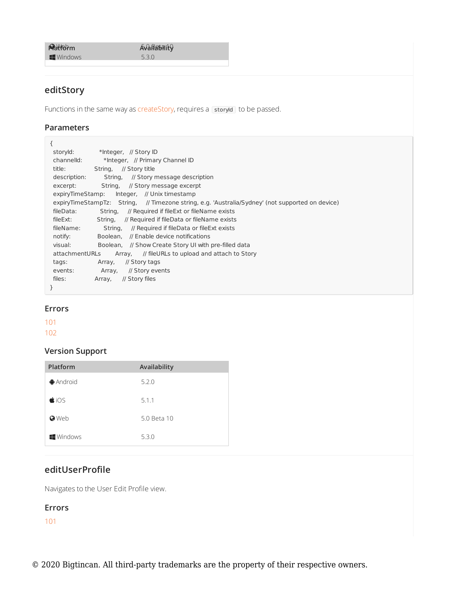**Mattorm Availability** 

**Example 2.3.0**<br>
S.3.0

# **editStory**

Functions in the same way as createStory, requires a storyId to be passed.

#### **Parameters**

| ſ                                                                                                |
|--------------------------------------------------------------------------------------------------|
| storyId:<br>*Integer, // Story ID                                                                |
| channelld:<br>*Integer, // Primary Channel ID                                                    |
| title:<br>String, // Story title                                                                 |
| description:<br>String, // Story message description                                             |
| String, // Story message excerpt<br>excerpt:                                                     |
| Integer, // Unix timestamp<br>expiryTimeStamp:                                                   |
| expiryTimeStampTz: String, // Timezone string, e.g. 'Australia/Sydney' (not supported on device) |
| fileData:<br>Strina.<br>// Required if fileExt or fileName exists                                |
| // Required if fileData or fileName exists<br>fileExt:<br>String,                                |
| fileName:<br>String,<br>// Required if fileData or fileExt exists                                |
| Boolean. // Enable device notifications<br>notify:                                               |
| visual:<br>Boolean, // Show Create Story UI with pre-filled data                                 |
| attachmentURLs<br>Array, // fileURLs to upload and attach to Story                               |
| // Story tags<br>Array,<br>tags:                                                                 |
| events:<br>// Story events<br>Array,                                                             |
| files:<br>// Story files<br>Array,                                                               |
| }                                                                                                |
|                                                                                                  |

#### **Errors**

101

102

# **Version Support**

| Platform               | Availability |
|------------------------|--------------|
| $\bigoplus$ Android    | 5.2.0        |
| $\bigcirc$ iOS         | 5.1.1        |
| <b>O</b> Web           | 5.0 Beta 10  |
| $\blacksquare$ Windows | 5.3.0        |

# **editUserProfile**

Navigates to the User Edit Profile view.

### **Errors**

101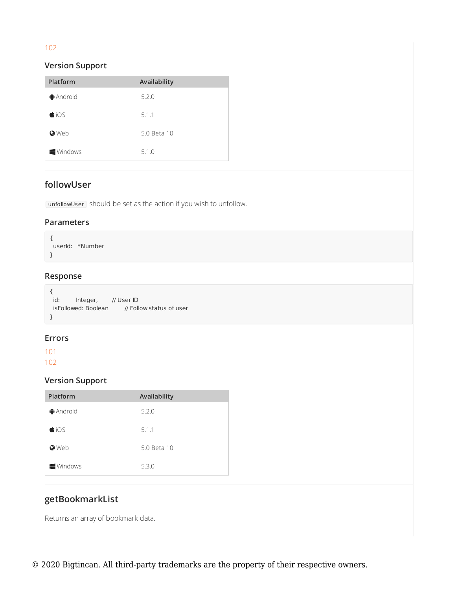# 102

## **Version Support**

| Platform               | Availability |
|------------------------|--------------|
| $\bigoplus$ Android    | 5.2.0        |
| $\bigcirc$ iOS         | 5.1.1        |
| <b>O</b> Web           | 5.0 Beta 10  |
| $\blacksquare$ Windows | 5.1.0        |

# **followUser**

 $\lceil$  unfollowUser  $\rceil$  should be set as the action if you wish to unfollow.

### **Parameters**

{ userId: \*Number }

# **Response**

```
{
id: Integer, // User ID
isFollowed: Boolean // Follow status of user
}
```
## **Errors**

101

102

## **Version Support**

| Platform               | Availability |
|------------------------|--------------|
| $\bigoplus$ Android    | 5.2.0        |
| $\bigcirc$ iOS         | 5.1.1        |
| <b>O</b> Web           | 5.0 Beta 10  |
| $\blacksquare$ Windows | 5.3.0        |

# **getBookmarkList**

Returns an array of bookmark data.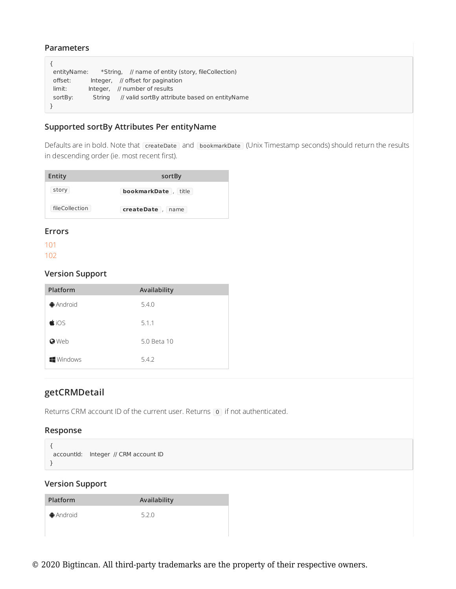#### **Parameters**

```
{
entityName: *String, // name of entity (story, fileCollection)
 offset: Integer, // offset for pagination
 limit: Integer, // number of results
 sortBy: String // valid sortBy attribute based on entityName
}
```
## **Supported sortBy Attributes Per entityName**

Defaults are in bold. Note that createDate and bookmarkDate (Unix Timestamp seconds) should return the results in descending order (ie. most recent first).

| Entity         | sortBy                 |
|----------------|------------------------|
| story          | bookmarkDate,<br>title |
| fileCollection | createDate<br>name     |

#### **Errors**

101

102

### **Version Support**

| Platform               | Availability |
|------------------------|--------------|
| $\bigoplus$ Android    | 5.4.0        |
| $\bigcirc$ iOS         | 5.1.1        |
| <b>O</b> Web           | 5.0 Beta 10  |
| $\blacksquare$ Windows | 5.4.2        |

## **getCRMDetail**

Returns CRM account ID of the current user. Returns **0** if not authenticated.

### **Response**

```
{
accountId: Integer // CRM account ID
}
```

| <b>Platform</b>     | Availability |
|---------------------|--------------|
| $\bigoplus$ Android | 5.2.0        |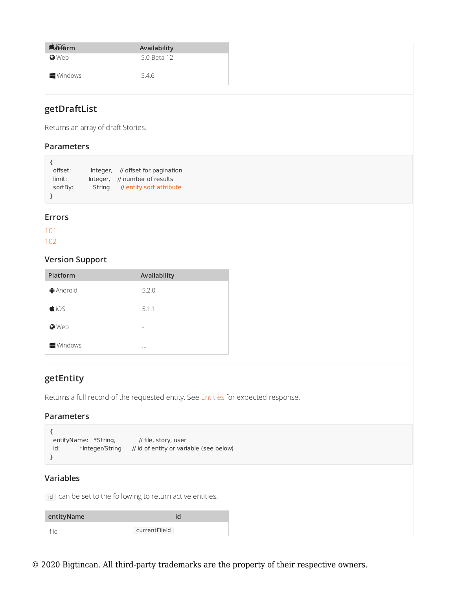| <b>Matform</b>   | Availability |
|------------------|--------------|
| <b>O</b> Web     | 5.0 Beta 12  |
|                  |              |
| <b>I</b> Windows | 5.4.6        |

# **getDraftList**

Returns an array of draft Stories.

### **Parameters**

| offset: |        | Integer, // offset for pagination |
|---------|--------|-----------------------------------|
| limit:  |        | Integer. // number of results     |
| sortBy: | String | // entity sort attribute          |
|         |        |                                   |

### **Errors**

101

 $\overline{a}$ 

102

# **Version Support**

| Platform            | Availability |
|---------------------|--------------|
| $\bigoplus$ Android | 5.2.0        |
| $\bigcirc$ iOS      | 5.1.1        |
| <b>O</b> Web        | -            |
| <b>Windows</b>      | $\cdots$     |

# **getEntity**

Returns a full record of the requested entity. See Entities for expected response.

### **Parameters**

```
{
 entityName: *String, // file, story, user
 id: *Integer/String // id of entity or variable (see below)
}
```
## **Variables**

id can be set to the following to return active entities.

| entityName |               |
|------------|---------------|
| file       | currentFileId |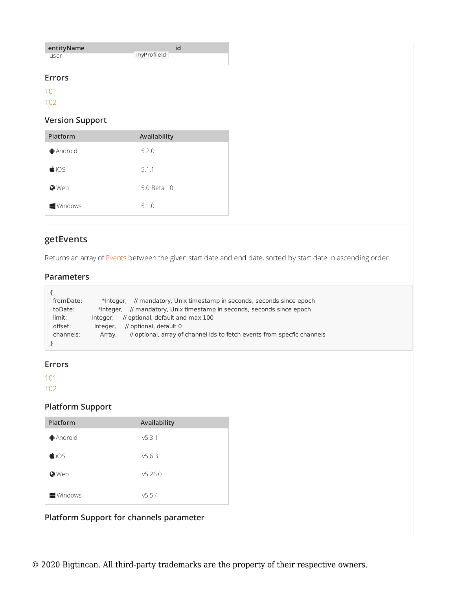| entityName |             |
|------------|-------------|
| user       | myProfileId |

### **Errors**

101

102

## **Version Support**

| Platform         | Availability |
|------------------|--------------|
| <b>●</b> Android | 5.2.0        |
| $\bigcirc$ iOS   | 5.1.1        |
| <b>O</b> Web     | 5.0 Beta 10  |
| <b>Windows</b>   | 5.1.0        |

# **getEvents**

Returns an array of Events between the given start date and end date, sorted by start date in ascending order.

### **Parameters**

| from Date: | // mandatory, Unix timestamp in seconds, seconds since epoch<br>*Integer.         |
|------------|-----------------------------------------------------------------------------------|
| toDate:    | // mandatory, Unix timestamp in seconds, seconds since epoch<br>*Integer.         |
| limit:     | // optional, default and max 100<br>Integer.                                      |
| offset:    | // optional, default 0<br>Integer.                                                |
| channels:  | // optional, array of channel ids to fetch events from specfic channels<br>Array. |
|            |                                                                                   |

### **Errors**

101 102

# **Platform Support**

| Platform            | Availability |
|---------------------|--------------|
| $\bigoplus$ Android | V5.3.1       |
| $\bigcirc$ iOS      | V5.6.3       |
| <b>O</b> Web        | v5.26.0      |
| <b>Windows</b>      | v5.5.4       |

# **Platform Support for channels parameter**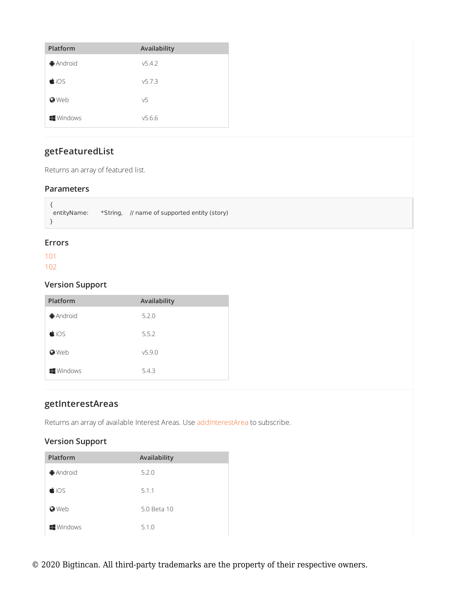| Platform            | Availability |
|---------------------|--------------|
| $\bigoplus$ Android | v5.4.2       |
| $\bigcirc$ iOS      | v5.7.3       |
| <b>O</b> Web        | v5           |
| <b>Windows</b>      | V5.6.6       |

# **getFeaturedList**

Returns an array of featured list.

### **Parameters**

```
{
entityName: *String, // name of supported entity (story)
}
```
## **Errors**

101 102

## **Version Support**

| Platform               | Availability |
|------------------------|--------------|
| $\bigoplus$ Android    | 5.2.0        |
| $\bigcirc$ iOS         | 5.5.2        |
| <b>O</b> Web           | v5.9.0       |
| $\blacksquare$ Windows | 5.4.3        |

# **getInterestAreas**

Returns an array of available Interest Areas. Use addInterestArea to subscribe.

| Platform               | Availability |
|------------------------|--------------|
| $\bigoplus$ Android    | 5.2.0        |
| $\bigcirc$ iOS         | 5.1.1        |
| <b>O</b> Web           | 5.0 Beta 10  |
| $\blacksquare$ Windows | 5.1.0        |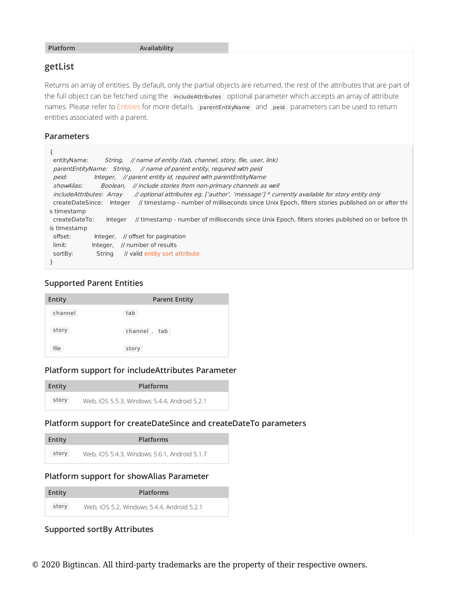#### **Platform Availability**

### **getList**

Returns an array of entities. By default, only the partial objects are returned, the rest of the attributes that are part of the full object can be fetched using the includeAttributes optional parameter which accepts an array of attribute names. Please refer to Entities for more details. [parentEntityName] and [peid] parameters can be used to return entities associated with a parent.

### **Parameters**

| String, // name of entity (tab, channel, story, file, user, link)<br>entityName:                                                     |
|--------------------------------------------------------------------------------------------------------------------------------------|
| parentEntityName: String, // name of parent entity, required with peid                                                               |
| Integer, // parent entity id, required with parentEntityName<br>peid:                                                                |
| Boolean, // include stories from non-primary channels as well<br>showAlias:                                                          |
| // optional attributes eq. ['author', 'message'] * currently available for story entity only<br><i>includeAttributes: Array</i>      |
| // timestamp - number of milliseconds since Unix Epoch, filters stories published on or after thi<br>createDateSince:<br>Integer     |
| s timestamp                                                                                                                          |
| // timestamp - number of milliseconds since Unix Epoch, filters stories published on or before th<br>createDateTo:<br><b>Integer</b> |
| is timestamp                                                                                                                         |
| offset:<br>// offset for pagination<br>Integer.                                                                                      |
| limit:<br>// number of results<br>Integer,                                                                                           |
| // valid entity sort attribute<br>sortBy:<br>Strina                                                                                  |
|                                                                                                                                      |

## **Supported Parent Entities**

| <b>Entity</b> | <b>Parent Entity</b> |
|---------------|----------------------|
| channel       | tab                  |
| story         | channel,<br>tab      |
| file          | story                |

## **Platform support for includeAttributes Parameter**

| Entity | <b>Platforms</b>                             |
|--------|----------------------------------------------|
| story  | Web, iOS 5.5.3, Windows 5.4.4, Android 5.2.1 |

# **Platform support for createDateSince and createDateTo parameters**

| Entity | <b>Platforms</b>                             |
|--------|----------------------------------------------|
| story  | Web, iOS 5.4.3, Windows 5.6.1, Android 5.1.7 |

### **Platform support for showAlias Parameter**

| Entity | <b>Platforms</b>                           |
|--------|--------------------------------------------|
| story  | Web, iOS 5.2, Windows 5.4.4, Android 5.2.1 |

# **Supported sortBy Attributes**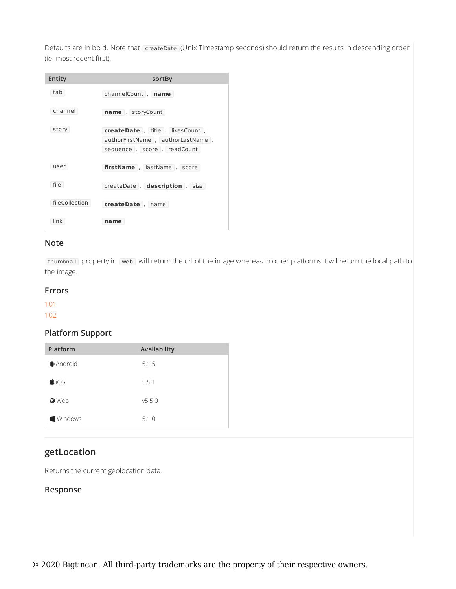Defaults are in bold. Note that createDate (Unix Timestamp seconds) should return the results in descending order (ie. most recent first).

| Entity         | sortBy                           |
|----------------|----------------------------------|
| tab            | channelCount, name               |
| channel        | name, storyCount                 |
| story          | createDate, title, likesCount,   |
|                | authorFirstName, authorLastName, |
|                | sequence, score, readCount       |
| user           | firstName, lastName, score       |
| file           | createDate, description, size    |
| fileCollection | createDate , name                |
| link           | name                             |

## **Note**

[thumbnail] property in web] will return the url of the image whereas in other platforms it wil return the local path to the image.

### **Errors**

101

102

# **Platform Support**

| Platform               | Availability |
|------------------------|--------------|
| <b>Android</b>         | 5.1.5        |
| $\bigcirc$ iOS         | 5.5.1        |
| <b>O</b> Web           | v5.5.0       |
| $\blacksquare$ Windows | 5.1.0        |

# **getLocation**

Returns the current geolocation data.

# **Response**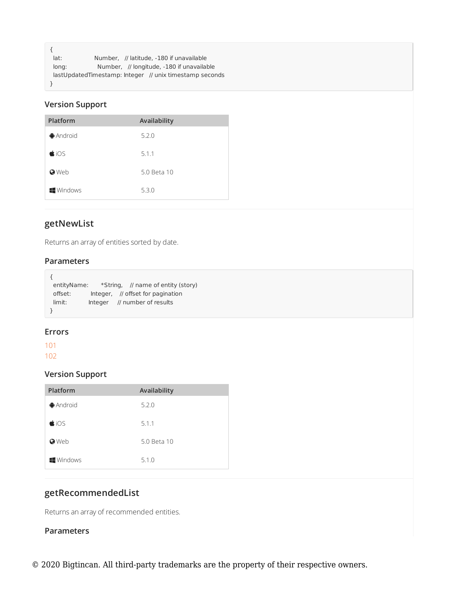```
{
lat: Number, // latitude, -180 if unavailable
long: Number, // longitude, -180 if unavailable
lastUpdatedTimestamp: Integer // unix timestamp seconds
}
```
# **Version Support**

| Platform            | Availability |
|---------------------|--------------|
| $\bigoplus$ Android | 5.2.0        |
| $\bigcirc$ iOS      | 5.1.1        |
| <b>O</b> Web        | 5.0 Beta 10  |
| <b>Windows</b>      | 5.3.0        |

# **getNewList**

Returns an array of entities sorted by date.

### **Parameters**

|           |  | entityName: *String, // name of entity (story) |
|-----------|--|------------------------------------------------|
| offset:   |  | Integer, // offset for pagination              |
| $lim$ it: |  | Integer // number of results                   |
|           |  |                                                |

### **Errors**

101 102

# **Version Support**

| Platform               | Availability |
|------------------------|--------------|
| $\bigoplus$ Android    | 5.2.0        |
| $\bigcirc$ iOS         | 5.1.1        |
| <b>O</b> Web           | 5.0 Beta 10  |
| $\blacksquare$ Windows | 5.1.0        |

# **getRecommendedList**

Returns an array of recommended entities.

### **Parameters**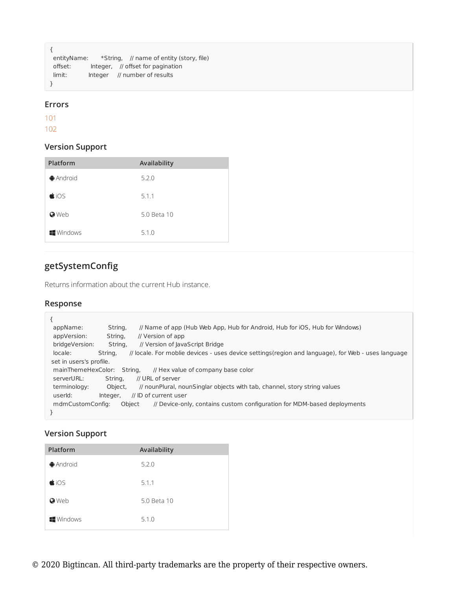```
{
entityName: *String, // name of entity (story, file)
offset: Integer, // offset for pagination
limit: Integer // number of results
}
```
### **Errors**

101

102

## **Version Support**

| Platform            | Availability |
|---------------------|--------------|
| $\bigoplus$ Android | 5.2.0        |
| $\bigcirc$ iOS      | 5.1.1        |
| <b>O</b> Web        | 5.0 Beta 10  |
| <b>Windows</b>      | 5.1.0        |

# **getSystemConfig**

Returns information about the current Hub instance.

## **Response**

| appName:                   | String,  | // Name of app (Hub Web App, Hub for Android, Hub for iOS, Hub for Windows)                         |
|----------------------------|----------|-----------------------------------------------------------------------------------------------------|
| appVersion:                | String,  | // Version of app                                                                                   |
| bridgeVersion:             | String,  | // Version of JavaScript Bridge                                                                     |
| locale:                    | String.  | // locale. For moblie devices - uses device settings (region and language), for Web - uses language |
| set in users's profile.    |          |                                                                                                     |
| mainThemeHexColor: String, |          | // Hex value of company base color                                                                  |
| serverURL:                 | String.  | // URL of server                                                                                    |
| terminology:               | Object,  | // nounPlural, nounSinglar objects with tab, channel, story string values                           |
| userld:                    | Integer, | // ID of current user                                                                               |
| mdmCustomConfig:           | Object   | // Device-only, contains custom configuration for MDM-based deployments                             |
|                            |          |                                                                                                     |

| Platform               | Availability |
|------------------------|--------------|
| $\bigoplus$ Android    | 5.2.0        |
| $\bigcirc$ iOS         | 5.1.1        |
| <b>O</b> Web           | 5.0 Beta 10  |
| $\blacksquare$ Windows | 5.1.0        |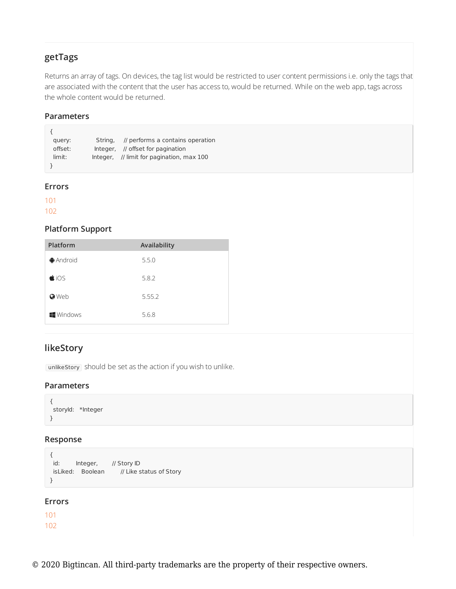# **getTags**

Returns an array of tags. On devices, the tag list would be restricted to user content permissions i.e. only the tags that are associated with the content that the user has access to, would be returned. While on the web app, tags across the whole content would be returned.

## **Parameters**

| query:  | String, // performs a contains operation  |
|---------|-------------------------------------------|
| offset: | Integer, // offset for pagination         |
| limit:  | Integer, // limit for pagination, max 100 |
|         |                                           |

#### **Errors**

101

102

## **Platform Support**

| Platform               | Availability |
|------------------------|--------------|
| $\bigoplus$ Android    | 5.5.0        |
| $\bigcirc$ iOS         | 5.8.2        |
| <b>O</b> Web           | 5.55.2       |
| $\blacksquare$ Windows | 5.6.8        |

# **likeStory**

unlikeStory should be set as the action if you wish to unlike.

### **Parameters**

```
{
storyId: *Integer
}
```
### **Response**

```
{
id: Integer, // Story ID
isLiked: Boolean // Like status of Story
}
```
## **Errors**

101 102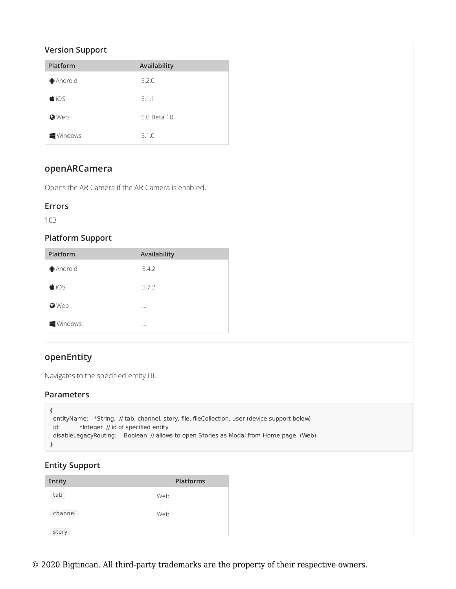## **Version Support**

| Platform            | Availability |
|---------------------|--------------|
| $\bigoplus$ Android | 5.2.0        |
| $\bigcirc$ iOS      | 5.1.1        |
| <b>O</b> Web        | 5.0 Beta 10  |
| <b>Windows</b>      | 5.1.0        |

# **openARCamera**

Opens the AR Camera if the AR Camera is enabled.

## **Errors**

103

## **Platform Support**

| Platform               | Availability |
|------------------------|--------------|
| $\bigoplus$ Android    | 5.4.2        |
| $\bigcirc$ iOS         | 5.7.2        |
| <b>O</b> Web           | $\cdots$     |
| $\blacksquare$ Windows | $\cdots$     |

# **openEntity**

Navigates to the specified entity UI.

## **Parameters**

```
{
entityName: *String, // tab, channel, story, file, fileCollection, user (device support below)
id: *Integer // id of specified entity
disableLegacyRouting: Boolean // allows to open Stories as Modal from Home page. (Web)
}
```
# **Entity Support**

| Entity  | <b>Platforms</b> |
|---------|------------------|
| tab     | Web              |
| channel | Web              |
| story   |                  |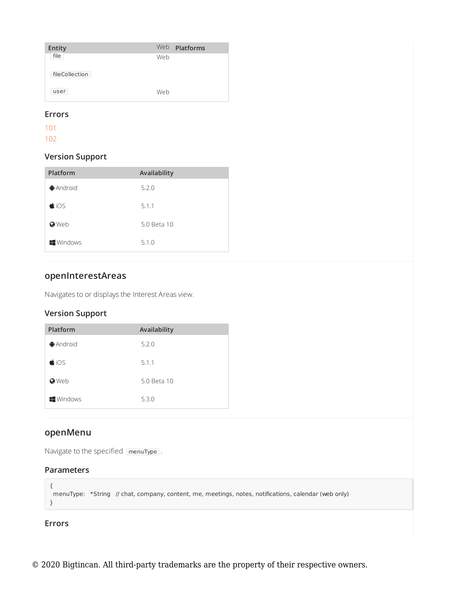| Entity         |     | Web <b>Platforms</b> |
|----------------|-----|----------------------|
| file           | Web |                      |
| fileCollection |     |                      |
| user           | Web |                      |

### **Errors**

101

102

# **Version Support**

| Platform               | Availability |
|------------------------|--------------|
| $\bigoplus$ Android    | 5.2.0        |
| $\bigcirc$ iOS         | 5.1.1        |
| <b>O</b> Web           | 5.0 Beta 10  |
| $\blacksquare$ Windows | 5.1.0        |

# **openInterestAreas**

Navigates to or displays the Interest Areas view.

# **Version Support**

| Platform               | Availability |
|------------------------|--------------|
| <b></b> Android        | 5.2.0        |
| $\bigcirc$ iOS         | 5.1.1        |
| <b>O</b> Web           | 5.0 Beta 10  |
| $\blacksquare$ Windows | 5.3.0        |

# **openMenu**

Navigate to the specified [menuType].

# **Parameters**

```
{
menuType: *String // chat, company, content, me, meetings, notes, notifications, calendar (web only)
}
```
# **Errors**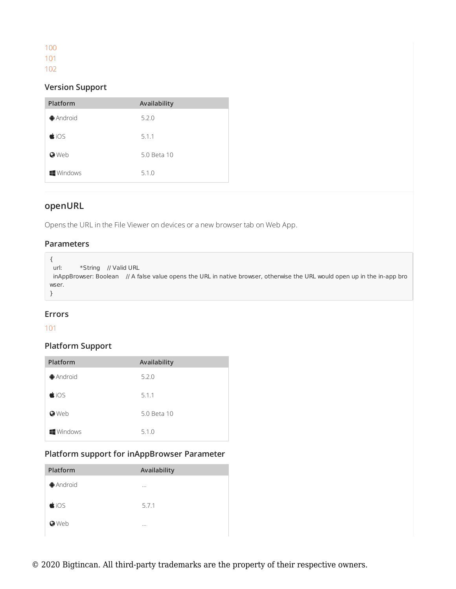| P.<br>-<br>- |  |
|--------------|--|
| -            |  |

102

# **Version Support**

| Platform               | Availability |
|------------------------|--------------|
| $\bigoplus$ Android    | 5.2.0        |
| $\bigcirc$ iOS         | 5.1.1        |
| <b>O</b> Web           | 5.0 Beta 10  |
| $\blacksquare$ Windows | 5.1.0        |

# **openURL**

Opens the URL in the File Viewer on devices or a new browser tab on Web App.

## **Parameters**

```
{
url: *String // Valid URL
inAppBrowser: Boolean // A false value opens the URL in native browser, otherwise the URL would open up in the in-app bro
wser.
}
```
## **Errors**

## 101

## **Platform Support**

| Platform            | Availability |
|---------------------|--------------|
| $\bigoplus$ Android | 5.2.0        |
| $\bigcirc$ iOS      | 5.1.1        |
| <b>O</b> Web        | 5.0 Beta 10  |
| <b>Windows</b>      | 5.1.0        |

# **Platform support for inAppBrowser Parameter**

| Platform       | Availability |
|----------------|--------------|
| <b>Android</b> | $\cdots$     |
| $\bigcirc$ iOS | 5.7.1        |
| <b>O</b> Web   | $\cdots$     |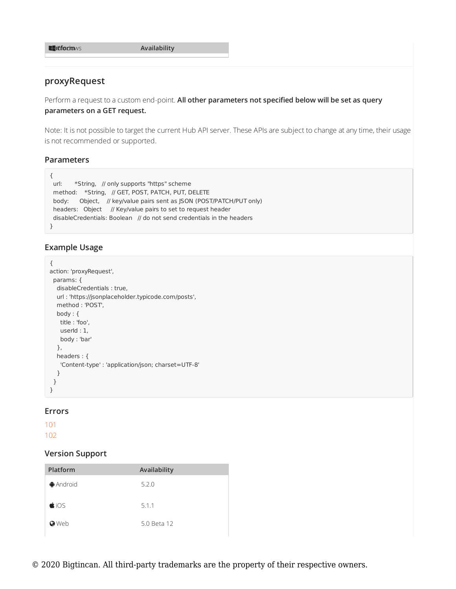**Pla**W**tf**i**o**n**r**d**m**ows **A**…**vailability**

## **proxyRequest**

Perform a request to a custom end-point. **All other parameters not specified below will be set as query parameters on a GET request.**

Note: It is not possible to target the current Hub API server. These APIs are subject to change at any time, their usage is not recommended or supported.

### **Parameters**

```
{
url: *String, // only supports "https" scheme
method: *String, // GET, POST, PATCH, PUT, DELETE
body: Object, // key/value pairs sent as JSON (POST/PATCH/PUT only)
headers: Object // Key/value pairs to set to request header
disableCredentials: Boolean // do not send credentials in the headers
}
```
### **Example Usage**

```
{
action: 'proxyRequest',
params: {
 disableCredentials : true,
 url : 'https://jsonplaceholder.typicode.com/posts',
 method : 'POST',
 body : {
  title : 'foo',
  userId : 1,
  body : 'bar'
 },
 headers : {
   'Content-type' : 'application/json; charset=UTF-8'
  }
 }
}
```
#### **Errors**

101

102

| Platform            | Availability |
|---------------------|--------------|
| $\bigoplus$ Android | 5.2.0        |
| $\bigcirc$ iOS      | 5.1.1        |
| <b>O</b> Web        | 5.0 Beta 12  |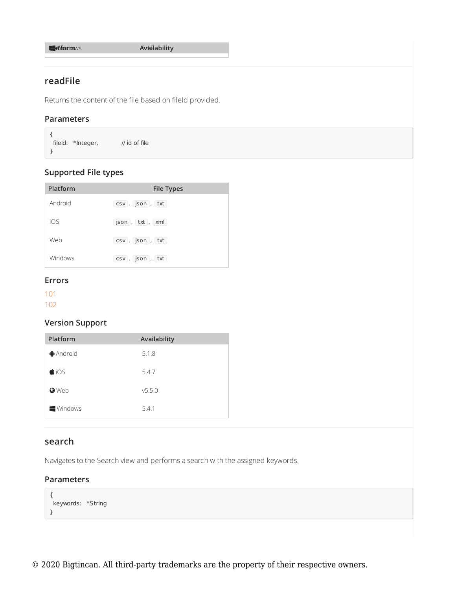**Pla**W**tf**i**o**n**r**d**m**ows **A**5**v**.4**a**.2**ilability**

# **readFile**

Returns the content of the file based on fileId provided.

### **Parameters**

{ fileId: \*Integer, // id of file }

# **Supported File types**

| Platform | <b>File Types</b> |
|----------|-------------------|
| Android  | csv, json, txt    |
| iOS      | json, txt, xml    |
| Web      | csv, json, txt    |
| Windows  | csv, json, txt    |

### **Errors**

101

102

## **Version Support**

| Platform            | Availability |
|---------------------|--------------|
| $\bigoplus$ Android | 5.1.8        |
| $\bigcirc$ iOS      | 5.4.7        |
| <b>O</b> Web        | v5.5.0       |
| <b>Windows</b>      | 5.4.1        |

## **search**

Navigates to the Search view and performs a search with the assigned keywords.

### **Parameters**

```
{
keywords: *String
}
```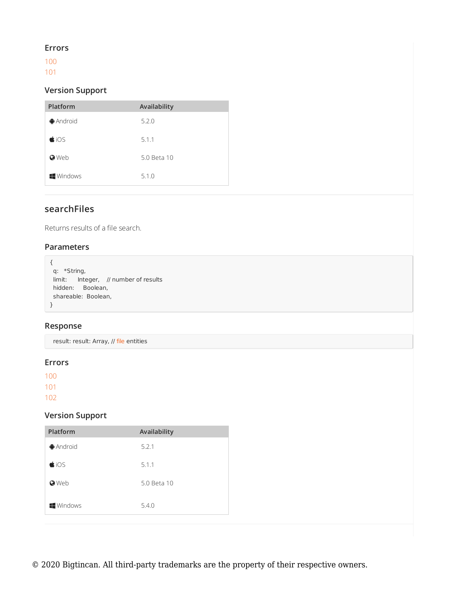### **Errors**

100 101

## **Version Support**

| Platform               | Availability |
|------------------------|--------------|
| $\bigoplus$ Android    | 5.2.0        |
| $\bigcirc$ iOS         | 5.1.1        |
| <b>O</b> Web           | 5.0 Beta 10  |
| $\blacksquare$ Windows | 5.1.0        |

# **searchFiles**

Returns results of a file search.

### **Parameters**

```
{
q: *String,
limit: Integer, // number of results
hidden: Boolean,
shareable: Boolean,
}
```
### **Response**

result: result: Array, // file entities

### **Errors**

100 101

102

| Platform            | Availability |
|---------------------|--------------|
| $\bigoplus$ Android | 5.2.1        |
| $\bigcirc$ iOS      | 5.1.1        |
| <b>O</b> Web        | 5.0 Beta 10  |
| <b>Windows</b>      | 5.4.0        |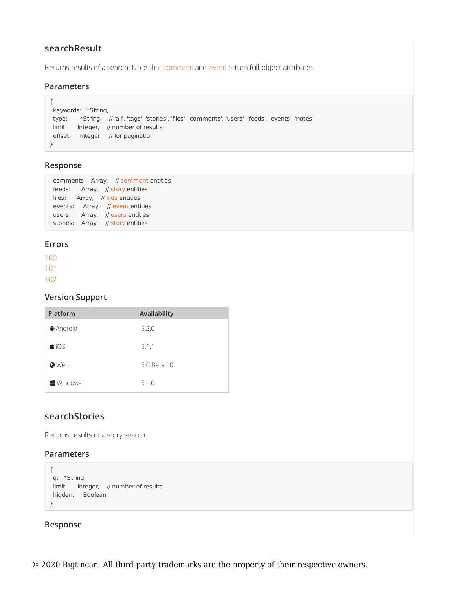## **searchResult**

Returns results of a search. Note that comment and event return full object attributes.

#### **Parameters**

```
{
keywords: *String,
type: *String, // 'all', 'tags', 'stories', 'files', 'comments', 'users', 'feeds', 'events', 'notes'
limit: Integer, // number of results
offset: Integer // for pagination
}
```
### **Response**

|  | comments: Array, // comment entities |
|--|--------------------------------------|
|  | feeds: Array, // story entities      |
|  | files: Array, // files entities      |
|  | events: Array, // event entities     |
|  | users: Array, // users entities      |
|  | stories: Array // story entities     |

#### **Errors**

100 101 102

### **Version Support**

| Platform            | Availability |
|---------------------|--------------|
| $\bigoplus$ Android | 5.2.0        |
| $\bigcirc$ iOS      | 5.1.1        |
| <b>O</b> Web        | 5.0 Beta 10  |
| <b>Windows</b>      | 5.1.0        |

## **searchStories**

Returns results of a story search.

### **Parameters**

```
{
q: *String,
limit: Integer, // number of results
hidden: Boolean
}
```
#### **Response**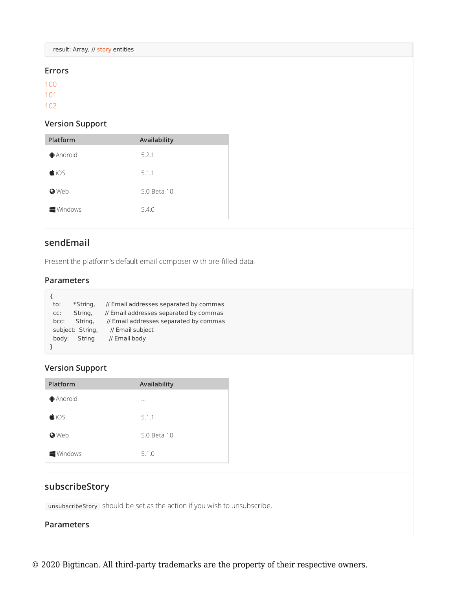result: Array, // story entities

#### **Errors**

100

101

102

## **Version Support**

| Platform            | Availability |
|---------------------|--------------|
| $\bigoplus$ Android | 5.2.1        |
| $\bigcirc$ iOS      | 5.1.1        |
| <b>O</b> Web        | 5.0 Beta 10  |
| <b>Windows</b>      | 5.4.0        |

# **sendEmail**

Present the platform's default email composer with pre-filled data.

## **Parameters**

| to:   | *String,         | // Email addresses separated by commas |
|-------|------------------|----------------------------------------|
| CC:   | String,          | // Email addresses separated by commas |
| bcc:  | String,          | // Email addresses separated by commas |
|       | subject: String, | // Email subject                       |
| body: | String           | // Email body                          |
|       |                  |                                        |

## **Version Support**

| Platform               | Availability |
|------------------------|--------------|
| $\bigoplus$ Android    | $\cdots$     |
| $\bigcirc$ iOS         | 5.1.1        |
| <b>O</b> Web           | 5.0 Beta 10  |
| $\blacksquare$ Windows | 5.1.0        |

# **subscribeStory**

unsubscribeStory should be set as the action if you wish to unsubscribe.

### **Parameters**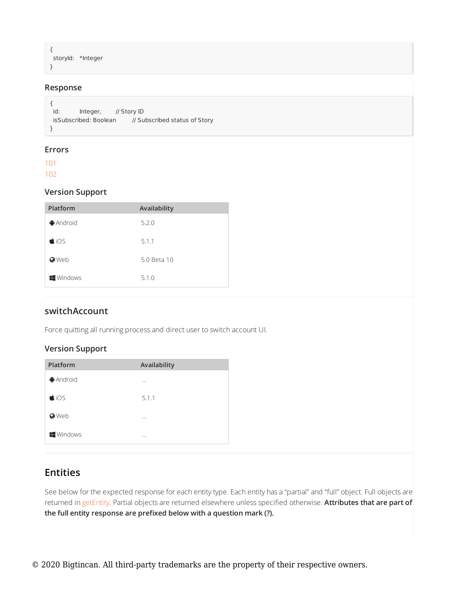```
{
storyId: *Integer
}
```
### **Response**

```
{
id: Integer, // Story ID
isSubscribed: Boolean // Subscribed status of Story
}
```
#### **Errors**

101 102

### **Version Support**

| Platform               | Availability |
|------------------------|--------------|
| $\bigoplus$ Android    | 5.2.0        |
| $\bigcirc$ iOS         | 5.1.1        |
| <b>O</b> Web           | 5.0 Beta 10  |
| $\blacksquare$ Windows | 5.1.0        |

### **switchAccount**

Force quitting all running process and direct user to switch account UI.

### **Version Support**

| Platform       | Availability |
|----------------|--------------|
| <b>Android</b> | $\cdots$     |
| $\bigcirc$ iOS | 5.1.1        |
| <b>O</b> Web   | $\cdots$     |
| <b>Windows</b> | $\cdots$     |

# **Entities**

See below for the expected response for each entity type. Each entity has a "partial" and "full" object. Full objects are returned in getEntity. Partial objects are returned elsewhere unless specified otherwise. **Attributes that are part of the full entity response are prefixed below with a question mark (?).**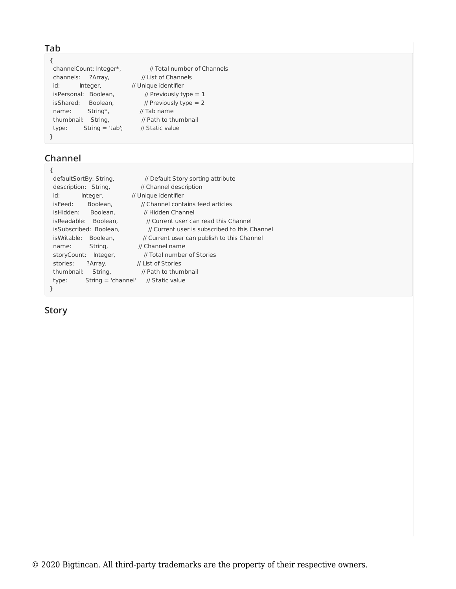## **Tab**

```
{
 channelCount: Integer*, your metal number of Channels
 channels: ?Array, // List of Channels
 id: Integer, // Unique identifier
 isPersonal: Boolean, \frac{1}{2} Previously type = 1
 isShared: Boolean, \frac{1}{2} Previously type = 2
 name: String*, // Tab name
 thumbnail: String, // Path to thumbnail
 type: String = 'tab'; // Static value
}
```
# **Channel**

| defaultSortBy: String,        | // Default Story sorting attribute            |
|-------------------------------|-----------------------------------------------|
| description: String,          | // Channel description                        |
| id:<br>Integer,               | // Unique identifier                          |
| Boolean.<br>isFeed:           | // Channel contains feed articles             |
| isHidden:<br>Boolean.         | // Hidden Channel                             |
| is Readable:<br>Boolean.      | // Current user can read this Channel         |
| isSubscribed: Boolean.        | // Current user is subscribed to this Channel |
| is Writable:<br>Boolean.      | // Current user can publish to this Channel   |
| String,<br>name:              | // Channel name                               |
| storyCount:<br>Integer,       | // Total number of Stories                    |
| stories:<br>?Array,           | // List of Stories                            |
| thumbnail:<br>String,         | // Path to thumbnail                          |
| $String = 'channel'$<br>type: | // Static value                               |
| }.                            |                                               |

## **Story**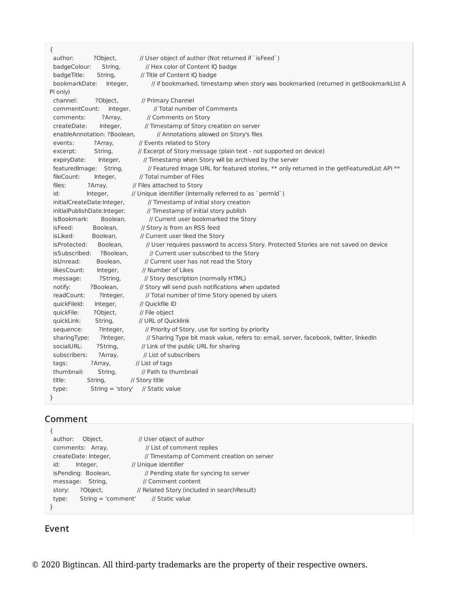{ author: ? Object, and // User object of author (Not returned if `isFeed`) badgeColour: String, // Hex color of Content IQ badge badgeTitle: String, // Title of Content IQ badge bookmarkDate: Integer, // if bookmarked, timestamp when story was bookmarked (returned in getBookmarkList A PI only) channel: ?Object, // Primary Channel commentCount: Integer, // Total number of Comments comments: ?Array, // Comments on Story createDate: Integer, // Timestamp of Story creation on server enableAnnotation: ?Boolean, // Annotations allowed on Story's files events: ?Array, // Events related to Story excerpt: String, // Excerpt of Story message (plain text - not supported on device) expiryDate: Integer, // Timestamp when Story will be archived by the server featuredImage: String, // Featured Image URL for featured stories, \*\* only returned in the getFeaturedList API \*\* fileCount: Integer, // Total number of Files<br>files: ?Array, // Files attached to Story<br> $\cdots$ files: ?Array, // Files attached to Story id: Integer, // Unique identifier (Internally referred to as `permId`) initialCreateDate:Integer, // Timestamp of initial story creation initialPublishDate:Integer, // Timestamp of initial story publish isBookmark: Boolean, // Current user bookmarked the Story isFeed: Boolean, // Story is from an RSS feed isLiked: Boolean, // Current user liked the Story isProtected: Boolean, // User requires password to access Story. Protected Stories are not saved on device isSubscribed: ?Boolean, // Current user subscribed to the Story isUnread: Boolean, // Current user has not read the Story<br>likesCount: Integer, // Number of Likes likesCount: Integer, message: ?String, // Story description (normally HTML) notify: ?Boolean, // Story will send push notifications when updated readCount: ?Integer, // Total number of time Story opened by users quickFileId: Integer, // Quickfile ID quickFile: ?Object. // File object quickLink: String, // URL of Quicklink sequence: ?Integer, // Priority of Story, use for sorting by priority sharingType: ?Integer, // Sharing Type bit mask value, refers to: email, server, facebook, twitter, linkedIn socialURL: ?String, // Link of the public URL for sharing subscribers: ?Array, // List of subscribers tags: ?Array, // List of tags thumbnail: String, // Path to thumbnail title: String, // Story title type: String = 'story' // Static value }

## **Comment**

| author:              | Object,  | // User object of author                     |
|----------------------|----------|----------------------------------------------|
| comments: Array,     |          | // List of comment replies                   |
| createDate: Integer, |          | // Timestamp of Comment creation on server   |
| id:                  | Integer, | // Unique identifier                         |
| isPending: Boolean,  |          | // Pending state for syncing to server       |
| message: String,     |          | // Comment content                           |
| story:               | ?Object, | // Related Story (included in search Result) |
| type:                |          | String = 'comment' // Static value           |
|                      |          |                                              |

# **Event**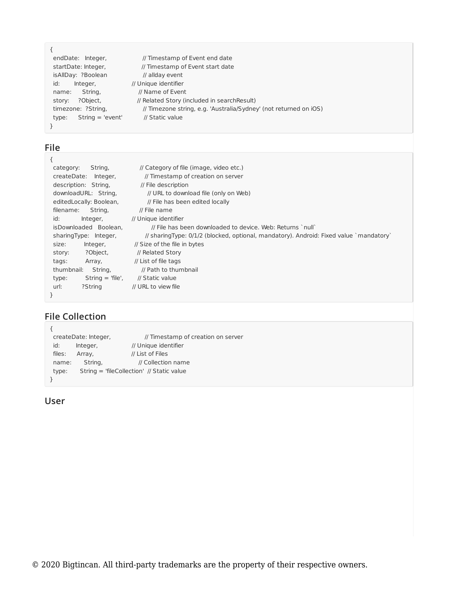| endDate: Integer,           | // Timestamp of Event end date                                    |
|-----------------------------|-------------------------------------------------------------------|
| startDate: Integer,         | // Timestamp of Event start date                                  |
| isAllDay: ?Boolean          | // allday event                                                   |
| id:<br>Integer,             | // Unique identifier                                              |
| String,<br>name:            | // Name of Event                                                  |
| ?Object,<br>story:          | // Related Story (included in search Result)                      |
| timezone: ?String,          | // Timezone string, e.g. 'Australia/Sydney' (not returned on iOS) |
| $String = 'event'$<br>type: | // Static value                                                   |
|                             |                                                                   |
|                             |                                                                   |

# **File**

| €                           |                                                                                        |
|-----------------------------|----------------------------------------------------------------------------------------|
| category:<br>String,        | // Category of file (image, video etc.)                                                |
| createDate: Integer,        | // Timestamp of creation on server                                                     |
| description: String,        | // File description                                                                    |
| downloadURL: String,        | // URL to download file (only on Web)                                                  |
| editedLocally: Boolean,     | // File has been edited locally                                                        |
| filename:<br>String,        | $\prime\prime$ File name                                                               |
| id:<br>Integer,             | // Unique identifier                                                                   |
| isDownloaded Boolean,       | // File has been downloaded to device. Web: Returns `null`                             |
| sharingType: Integer,       | // sharingType: 0/1/2 (blocked, optional, mandatory). Android: Fixed value `mandatory` |
| Integer,<br>size:           | // Size of the file in bytes                                                           |
| ?Object,<br>story:          | // Related Story                                                                       |
| Array,<br>tags:             | // List of file tags                                                                   |
| thumbnail:<br>String,       | // Path to thumbnail                                                                   |
| $String = 'file',$<br>type: | // Static value                                                                        |
| ?String<br>url:             | // URL to view file                                                                    |
|                             |                                                                                        |

#### **File Collection**  $\epsilon$

| createDate: Integer, |                                           | // Timestamp of creation on server |  |
|----------------------|-------------------------------------------|------------------------------------|--|
| id:                  | Integer,                                  | // Unique identifier               |  |
| files:               | Array,                                    | // List of Files                   |  |
| name:                | String,                                   | // Collection name                 |  |
| type:                | String = 'fileCollection' // Static value |                                    |  |
|                      |                                           |                                    |  |

# **User**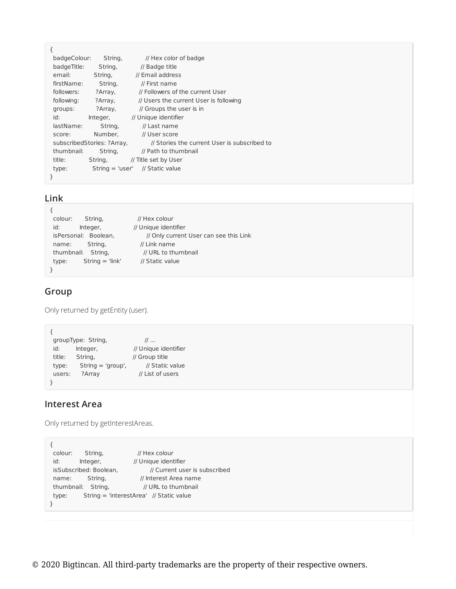| ſ                                                                          |          |                                        |
|----------------------------------------------------------------------------|----------|----------------------------------------|
| badgeColour:                                                               | String,  | // Hex color of badge                  |
| badgeTitle:                                                                | String,  | // Badge title                         |
| email:                                                                     | String,  | // Email address                       |
| firstName:                                                                 | String,  | // First name                          |
| followers:                                                                 | ?Array,  | // Followers of the current User       |
| following:                                                                 | ?Array,  | // Users the current User is following |
| groups:                                                                    | ?Array,  | // Groups the user is in               |
| id:                                                                        | Integer, | // Unique identifier                   |
| lastName:                                                                  | String,  | // Last name                           |
| score:                                                                     | Number.  | // User score                          |
| // Stories the current User is subscribed to<br>subscribedStories: ?Array, |          |                                        |
| thumbnail:                                                                 | String,  | // Path to thumbnail                   |
| title:                                                                     |          | String, // Title set by User           |
| type:                                                                      |          | String = 'user' // Static value        |
| ł                                                                          |          |                                        |

## **Link**

| String,<br>colour:         | // Hex colour                          |
|----------------------------|----------------------------------------|
| id:<br>Integer,            | // Unique identifier                   |
| isPersonal: Boolean,       | // Only current User can see this Link |
| String,<br>name:           | // Link name                           |
| thumbnail: String,         | // URL to thumbnail                    |
| $String = 'link'$<br>type: | // Static value                        |
|                            |                                        |

# **Group**

Only returned by getEntity (user).

```
{
  groupType: String, and the fill in the set of the set of the set of the set of the set of the set of the set o
  id: Integer, // Unique identifier
  title: String, // Group title
  type: String = 'group', // Static value
 users: ?Array // List of users
}
```
# **Interest Area**

Only returned by getInterestAreas.

```
{
 colour: String, // Hex colour
 id: Integer, // Unique identifier
 isSubscribed: Boolean, \frac{1}{2} Current user is subscribed
 name: String, // Interest Area name
 thumbnail: String, // URL to thumbnail
 type: String = 'interestArea' // Static value
}
```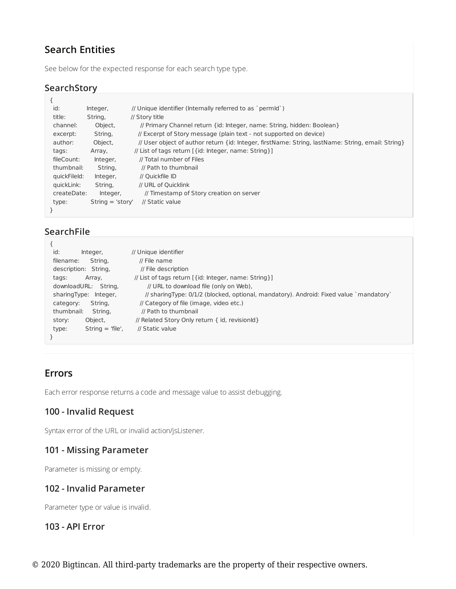# **Search Entities**

See below for the expected response for each search type type.

# **SearchStory**

| ₹            |                    |                                                                                                   |
|--------------|--------------------|---------------------------------------------------------------------------------------------------|
| id:          | Integer,           | // Unique identifier (Internally referred to as `permId`)                                         |
| title:       | String,            | // Story title                                                                                    |
| channel:     | Object,            | // Primary Channel return {id: Integer, name: String, hidden: Boolean}                            |
| excerpt:     | String,            | // Excerpt of Story message (plain text - not supported on device)                                |
| author:      | Object,            | // User object of author return {id: Integer, firstName: String, lastName: String, email: String} |
| tags:        | Array,             | // List of tags return [ { id: Integer, name: String } ]                                          |
| fileCount:   | Integer,           | // Total number of Files                                                                          |
| thumbnail:   | String,            | // Path to thumbnail                                                                              |
| quickFileId: | Integer,           | // Ouickfile ID                                                                                   |
| quickLink:   | String,            | // URL of Quicklink                                                                               |
| createDate:  | Integer,           | // Timestamp of Story creation on server                                                          |
| type:        | $String = 'story'$ | // Static value                                                                                   |
| }            |                    |                                                                                                   |

# **SearchFile**

| id:<br>Integer,             | // Unique identifier                                                                   |
|-----------------------------|----------------------------------------------------------------------------------------|
| String,<br>filename:        | $\prime\prime$ File name                                                               |
| description: String.        | // File description                                                                    |
| Array,<br>tags:             | // List of tags return [ {id: Integer, name: String }]                                 |
| downloadURL: String.        | // URL to download file (only on Web),                                                 |
| sharingType: Integer,       | // sharingType: 0/1/2 (blocked, optional, mandatory). Android: Fixed value `mandatory` |
| String,<br>category:        | // Category of file (image, video etc.)                                                |
| thumbnail:<br>String.       | // Path to thumbnail                                                                   |
| Object,<br>story:           | // Related Story Only return { id, revisionId}                                         |
| $String = 'file'.$<br>type: | // Static value                                                                        |
| }                           |                                                                                        |
|                             |                                                                                        |

# **Errors**

Each error response returns a code and message value to assist debugging.

# **100 - Invalid Request**

Syntax error of the URL or invalid action/jsListener.

# **101 - Missing Parameter**

Parameter is missing or empty.

# **102 - Invalid Parameter**

Parameter type or value is invalid.

## **103 - API Error**